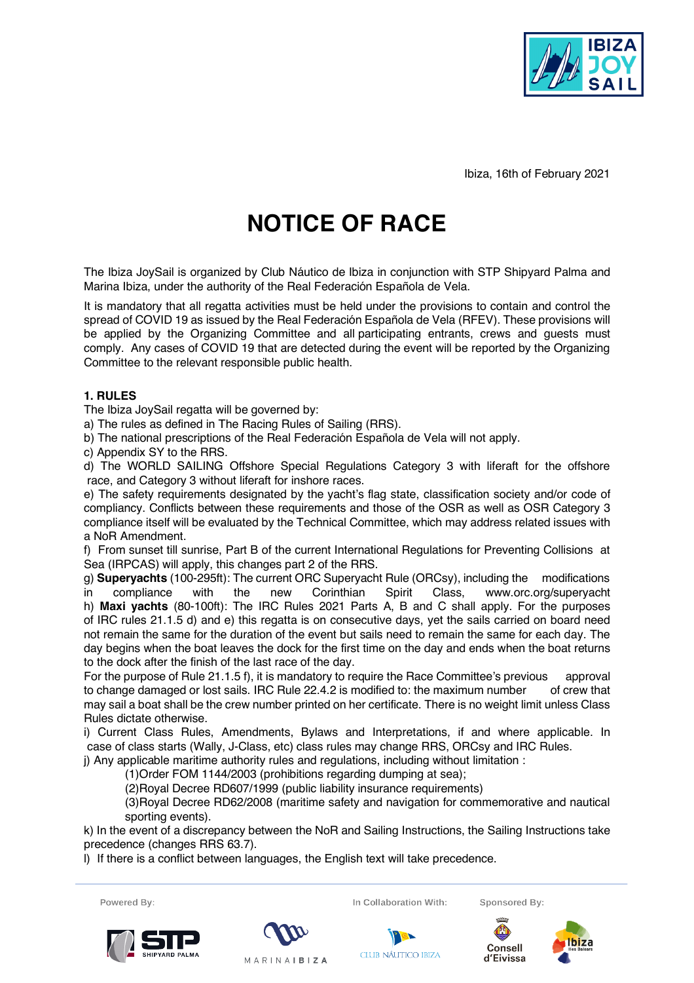

Ibiza, 16th of February 2021

# **NOTICE OF RACE**

The Ibiza JoySail is organized by Club Náutico de Ibiza in conjunction with STP Shipyard Palma and Marina Ibiza, under the authority of the Real Federación Española de Vela.

It is mandatory that all regatta activities must be held under the provisions to contain and control the spread of COVID 19 as issued by the Real Federación Española de Vela (RFEV). These provisions will be applied by the Organizing Committee and all participating entrants, crews and guests must comply. Any cases of COVID 19 that are detected during the event will be reported by the Organizing Committee to the relevant responsible public health.

# **1. RULES**

The Ibiza JoySail regatta will be governed by:

a) The rules as defined in The Racing Rules of Sailing (RRS).

b) The national prescriptions of the Real Federación Española de Vela will not apply.

c) Appendix SY to the RRS.

d) The WORLD SAILING Offshore Special Regulations Category 3 with liferaft for the offshore race, and Category 3 without liferaft for inshore races.

e) The safety requirements designated by the yacht's flag state, classification society and/or code of compliancy. Conflicts between these requirements and those of the OSR as well as OSR Category 3 compliance itself will be evaluated by the Technical Committee, which may address related issues with a NoR Amendment.

f) From sunset till sunrise, Part B of the current International Regulations for Preventing Collisions at Sea (IRPCAS) will apply, this changes part 2 of the RRS.

g) **Superyachts** (100-295ft): The current ORC Superyacht Rule (ORCsy), including the modifications in compliance with the new Corinthian Spirit Class, www.orc.org/superyacht h) **Maxi yachts** (80-100ft): The IRC Rules 2021 Parts A, B and C shall apply. For the purposes of IRC rules 21.1.5 d) and e) this regatta is on consecutive days, yet the sails carried on board need not remain the same for the duration of the event but sails need to remain the same for each day. The day begins when the boat leaves the dock for the first time on the day and ends when the boat returns to the dock after the finish of the last race of the day.

For the purpose of Rule 21.1.5 f), it is mandatory to require the Race Committee's previous approval to change damaged or lost sails. IRC Rule 22.4.2 is modified to: the maximum number of crew that may sail a boat shall be the crew number printed on her certificate. There is no weight limit unless Class Rules dictate otherwise.

i) Current Class Rules, Amendments, Bylaws and Interpretations, if and where applicable. In case of class starts (Wally, J-Class, etc) class rules may change RRS, ORCsy and IRC Rules.

j) Any applicable maritime authority rules and regulations, including without limitation :

(1)Order FOM 1144/2003 (prohibitions regarding dumping at sea);

(2)Royal Decree RD607/1999 (public liability insurance requirements)

(3)Royal Decree RD62/2008 (maritime safety and navigation for commemorative and nautical sporting events).

k) In the event of a discrepancy between the NoR and Sailing Instructions, the Sailing Instructions take precedence (changes RRS 63.7).

l) If there is a conflict between languages, the English text will take precedence.

Powered By:







**CLUB NÁUTICO IBIZA** 

Consell

d'Eivissa

Sponsored By:

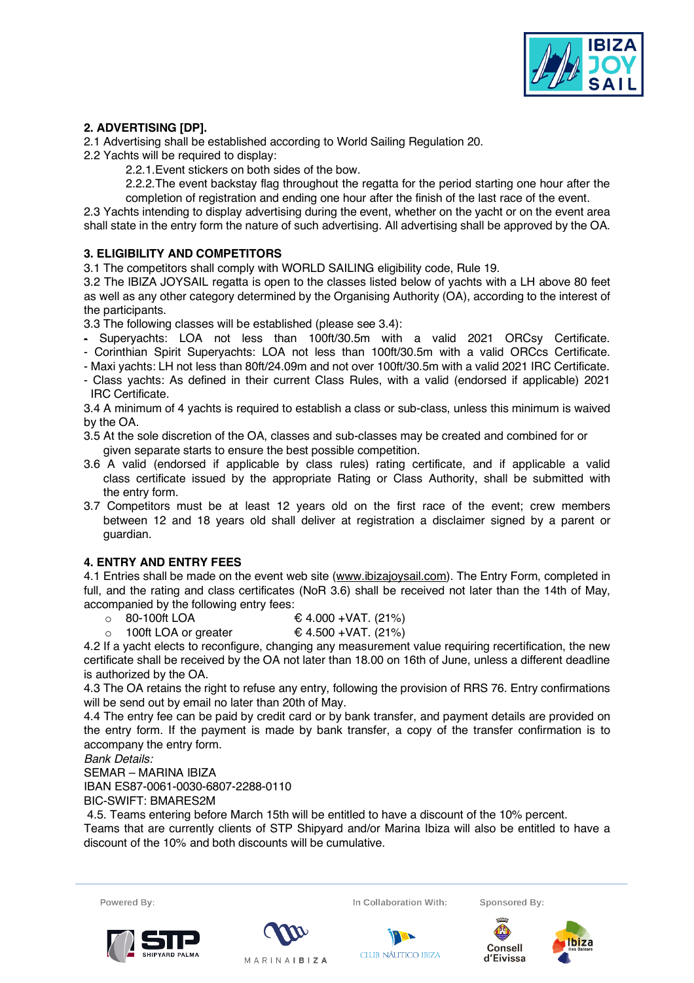

# **2. ADVERTISING [DP].**

2.1 Advertising shall be established according to World Sailing Regulation 20.

- 2.2 Yachts will be required to display:
	- 2.2.1.Event stickers on both sides of the bow.

2.2.2.The event backstay flag throughout the regatta for the period starting one hour after the completion of registration and ending one hour after the finish of the last race of the event.

2.3 Yachts intending to display advertising during the event, whether on the yacht or on the event area shall state in the entry form the nature of such advertising. All advertising shall be approved by the OA.

# **3. ELIGIBILITY AND COMPETITORS**

3.1 The competitors shall comply with WORLD SAILING eligibility code, Rule 19.

3.2 The IBIZA JOYSAIL regatta is open to the classes listed below of yachts with a LH above 80 feet as well as any other category determined by the Organising Authority (OA), according to the interest of the participants.

3.3 The following classes will be established (please see 3.4):

- Superyachts: LOA not less than 100ft/30.5m with a valid 2021 ORCsy Certificate.
- Corinthian Spirit Superyachts: LOA not less than 100ft/30.5m with a valid ORCcs Certificate.
- Maxi yachts: LH not less than 80ft/24.09m and not over 100ft/30.5m with a valid 2021 IRC Certificate.

- Class yachts: As defined in their current Class Rules, with a valid (endorsed if applicable) 2021 IRC Certificate.

3.4 A minimum of 4 yachts is required to establish a class or sub-class, unless this minimum is waived by the OA.

- 3.5 At the sole discretion of the OA, classes and sub-classes may be created and combined for or given separate starts to ensure the best possible competition.
- 3.6 A valid (endorsed if applicable by class rules) rating certificate, and if applicable a valid class certificate issued by the appropriate Rating or Class Authority, shall be submitted with the entry form.
- 3.7 Competitors must be at least 12 years old on the first race of the event; crew members between 12 and 18 years old shall deliver at registration a disclaimer signed by a parent or guardian.

# **4. ENTRY AND ENTRY FEES**

4.1 Entries shall be made on the event web site (www.ibizajoysail.com). The Entry Form, completed in full, and the rating and class certificates (NoR 3.6) shall be received not later than the 14th of May, accompanied by the following entry fees:

- $\circ$  80-100ft LOA € 4.000 +VAT. (21%)
- $\circ$  100ft LOA or greater  $\epsilon$  4.500 +VAT. (21%)

4.2 If a yacht elects to reconfigure, changing any measurement value requiring recertification, the new certificate shall be received by the OA not later than 18.00 on 16th of June, unless a different deadline is authorized by the OA.

4.3 The OA retains the right to refuse any entry, following the provision of RRS 76. Entry confirmations will be send out by email no later than 20th of May.

4.4 The entry fee can be paid by credit card or by bank transfer, and payment details are provided on the entry form. If the payment is made by bank transfer, a copy of the transfer confirmation is to accompany the entry form.

*Bank Details:*

SEMAR – MARINA IBIZA

IBAN ES87-0061-0030-6807-2288-0110

BIC-SWIFT: BMARES2M

4.5. Teams entering before March 15th will be entitled to have a discount of the 10% percent.

Teams that are currently clients of STP Shipyard and/or Marina Ibiza will also be entitled to have a discount of the 10% and both discounts will be cumulative.



In Collaboration With:

Sponsored By:







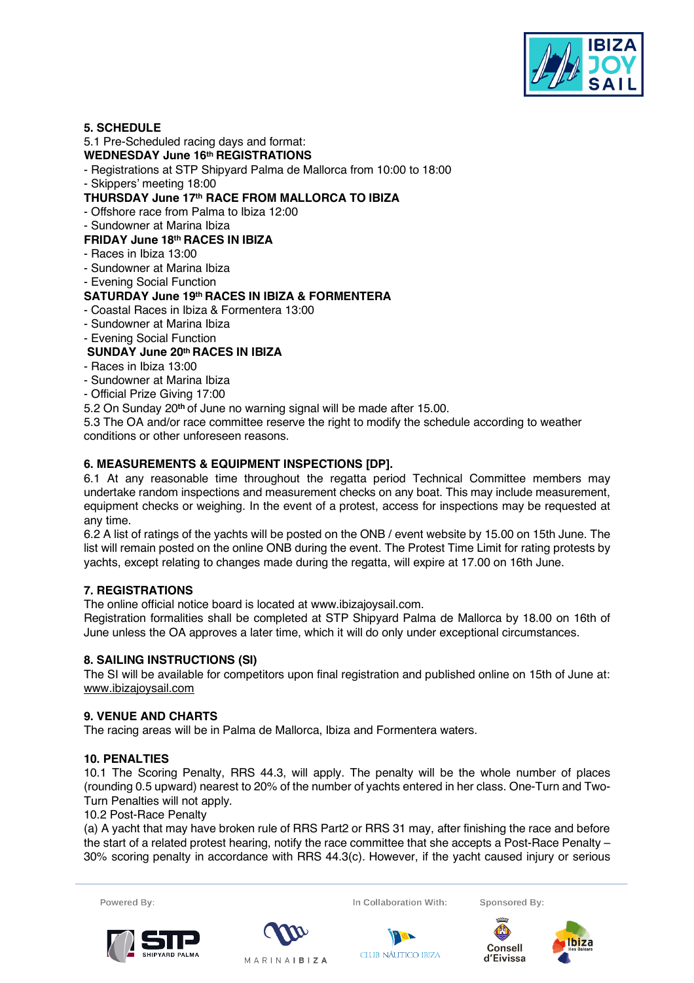

## **5. SCHEDULE**

## 5.1 Pre-Scheduled racing days and format:

## **WEDNESDAY June 16th REGISTRATIONS**

- Registrations at STP Shipyard Palma de Mallorca from 10:00 to 18:00
- Skippers' meeting 18:00

# **THURSDAY June 17th RACE FROM MALLORCA TO IBIZA**

- Offshore race from Palma to Ibiza 12:00
- Sundowner at Marina Ibiza

# **FRIDAY June 18th RACES IN IBIZA**

- Races in Ibiza 13:00
- Sundowner at Marina Ibiza
- Evening Social Function

# **SATURDAY June 19th RACES IN IBIZA & FORMENTERA**

- Coastal Races in Ibiza & Formentera 13:00
- Sundowner at Marina Ibiza
- Evening Social Function

# **SUNDAY June 20th RACES IN IBIZA**

- Races in Ibiza 13:00
- Sundowner at Marina Ibiza
- Official Prize Giving 17:00
- 5.2 On Sunday 20**th** of June no warning signal will be made after 15.00.

5.3 The OA and/or race committee reserve the right to modify the schedule according to weather conditions or other unforeseen reasons.

# **6. MEASUREMENTS & EQUIPMENT INSPECTIONS [DP].**

6.1 At any reasonable time throughout the regatta period Technical Committee members may undertake random inspections and measurement checks on any boat. This may include measurement, equipment checks or weighing. In the event of a protest, access for inspections may be requested at any time.

6.2 A list of ratings of the yachts will be posted on the ONB / event website by 15.00 on 15th June. The list will remain posted on the online ONB during the event. The Protest Time Limit for rating protests by yachts, except relating to changes made during the regatta, will expire at 17.00 on 16th June.

# **7. REGISTRATIONS**

The online official notice board is located at www.ibizajoysail.com.

Registration formalities shall be completed at STP Shipyard Palma de Mallorca by 18.00 on 16th of June unless the OA approves a later time, which it will do only under exceptional circumstances.

# **8. SAILING INSTRUCTIONS (SI)**

The SI will be available for competitors upon final registration and published online on 15th of June at: www.ibizajoysail.com

#### **9. VENUE AND CHARTS**

The racing areas will be in Palma de Mallorca, Ibiza and Formentera waters.

# **10. PENALTIES**

10.1 The Scoring Penalty, RRS 44.3, will apply. The penalty will be the whole number of places (rounding 0.5 upward) nearest to 20% of the number of yachts entered in her class. One-Turn and Two-Turn Penalties will not apply.

10.2 Post-Race Penalty

(a) A yacht that may have broken rule of RRS Part2 or RRS 31 may, after finishing the race and before the start of a related protest hearing, notify the race committee that she accepts a Post-Race Penalty – 30% scoring penalty in accordance with RRS 44.3(c). However, if the yacht caused injury or serious







In Collaboration With:

**CLUB NÁUTICO IBIZA** 

Sponsored By:



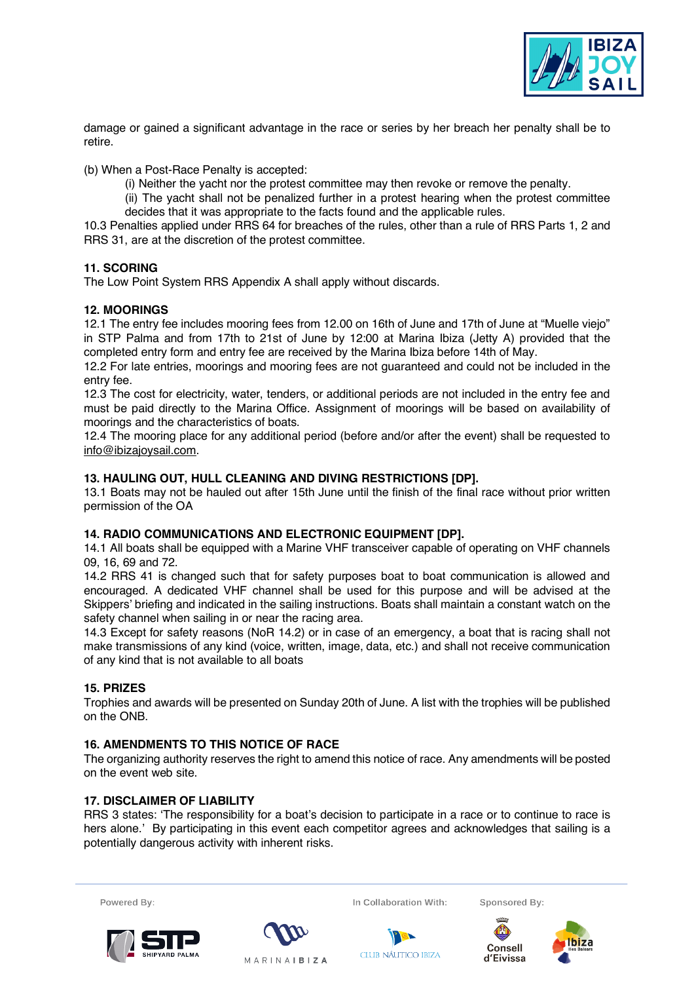

damage or gained a significant advantage in the race or series by her breach her penalty shall be to retire.

(b) When a Post-Race Penalty is accepted:

- (i) Neither the yacht nor the protest committee may then revoke or remove the penalty.
- (ii) The yacht shall not be penalized further in a protest hearing when the protest committee decides that it was appropriate to the facts found and the applicable rules.

10.3 Penalties applied under RRS 64 for breaches of the rules, other than a rule of RRS Parts 1, 2 and RRS 31, are at the discretion of the protest committee.

# **11. SCORING**

The Low Point System RRS Appendix A shall apply without discards.

## **12. MOORINGS**

12.1 The entry fee includes mooring fees from 12.00 on 16th of June and 17th of June at "Muelle viejo" in STP Palma and from 17th to 21st of June by 12:00 at Marina Ibiza (Jetty A) provided that the completed entry form and entry fee are received by the Marina Ibiza before 14th of May.

12.2 For late entries, moorings and mooring fees are not guaranteed and could not be included in the entry fee.

12.3 The cost for electricity, water, tenders, or additional periods are not included in the entry fee and must be paid directly to the Marina Office. Assignment of moorings will be based on availability of moorings and the characteristics of boats.

12.4 The mooring place for any additional period (before and/or after the event) shall be requested to info@ibizajoysail.com.

## **13. HAULING OUT, HULL CLEANING AND DIVING RESTRICTIONS [DP].**

13.1 Boats may not be hauled out after 15th June until the finish of the final race without prior written permission of the OA

# **14. RADIO COMMUNICATIONS AND ELECTRONIC EQUIPMENT [DP].**

14.1 All boats shall be equipped with a Marine VHF transceiver capable of operating on VHF channels 09, 16, 69 and 72.

14.2 RRS 41 is changed such that for safety purposes boat to boat communication is allowed and encouraged. A dedicated VHF channel shall be used for this purpose and will be advised at the Skippers' briefing and indicated in the sailing instructions. Boats shall maintain a constant watch on the safety channel when sailing in or near the racing area.

14.3 Except for safety reasons (NoR 14.2) or in case of an emergency, a boat that is racing shall not make transmissions of any kind (voice, written, image, data, etc.) and shall not receive communication of any kind that is not available to all boats

#### **15. PRIZES**

Trophies and awards will be presented on Sunday 20th of June. A list with the trophies will be published on the ONB.

# **16. AMENDMENTS TO THIS NOTICE OF RACE**

The organizing authority reserves the right to amend this notice of race. Any amendments will be posted on the event web site.

# **17. DISCLAIMER OF LIABILITY**

RRS 3 states: 'The responsibility for a boat's decision to participate in a race or to continue to race is hers alone.' By participating in this event each competitor agrees and acknowledges that sailing is a potentially dangerous activity with inherent risks.





In Collaboration With:

**CLUB NÁUTICO IBIZA** 

Sponsored By: